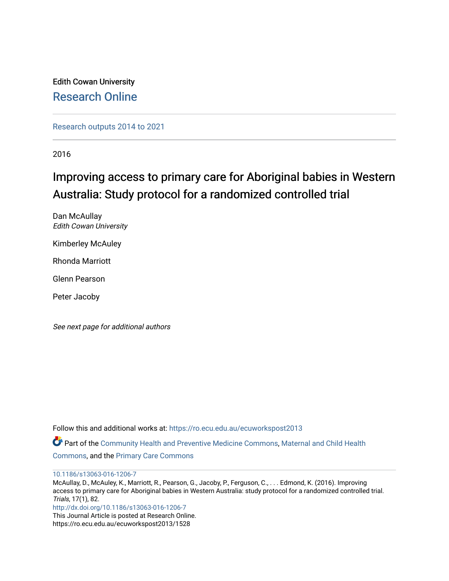Edith Cowan University [Research Online](https://ro.ecu.edu.au/) 

[Research outputs 2014 to 2021](https://ro.ecu.edu.au/ecuworkspost2013) 

2016

# Improving access to primary care for Aboriginal babies in Western Australia: Study protocol for a randomized controlled trial

Dan McAullay Edith Cowan University

Kimberley McAuley

Rhonda Marriott

Glenn Pearson

Peter Jacoby

See next page for additional authors

Follow this and additional works at: [https://ro.ecu.edu.au/ecuworkspost2013](https://ro.ecu.edu.au/ecuworkspost2013?utm_source=ro.ecu.edu.au%2Fecuworkspost2013%2F1528&utm_medium=PDF&utm_campaign=PDFCoverPages) 

Part of the [Community Health and Preventive Medicine Commons](https://network.bepress.com/hgg/discipline/744?utm_source=ro.ecu.edu.au%2Fecuworkspost2013%2F1528&utm_medium=PDF&utm_campaign=PDFCoverPages), Maternal and Child Health [Commons](https://network.bepress.com/hgg/discipline/745?utm_source=ro.ecu.edu.au%2Fecuworkspost2013%2F1528&utm_medium=PDF&utm_campaign=PDFCoverPages), and the [Primary Care Commons](https://network.bepress.com/hgg/discipline/1092?utm_source=ro.ecu.edu.au%2Fecuworkspost2013%2F1528&utm_medium=PDF&utm_campaign=PDFCoverPages)

[10.1186/s13063-016-1206-7](http://dx.doi.org/10.1186/s13063-016-1206-7)

McAullay, D., McAuley, K., Marriott, R., Pearson, G., Jacoby, P., Ferguson, C., . . . Edmond, K. (2016). Improving access to primary care for Aboriginal babies in Western Australia: study protocol for a randomized controlled trial. Trials, 17(1), 82. <http://dx.doi.org/10.1186/s13063-016-1206-7>

This Journal Article is posted at Research Online. https://ro.ecu.edu.au/ecuworkspost2013/1528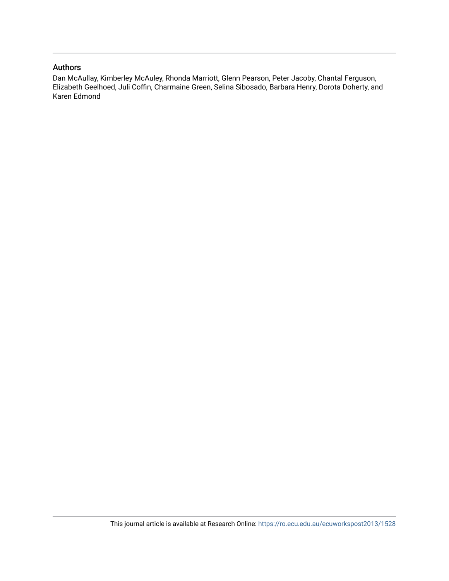## Authors

Dan McAullay, Kimberley McAuley, Rhonda Marriott, Glenn Pearson, Peter Jacoby, Chantal Ferguson, Elizabeth Geelhoed, Juli Coffin, Charmaine Green, Selina Sibosado, Barbara Henry, Dorota Doherty, and Karen Edmond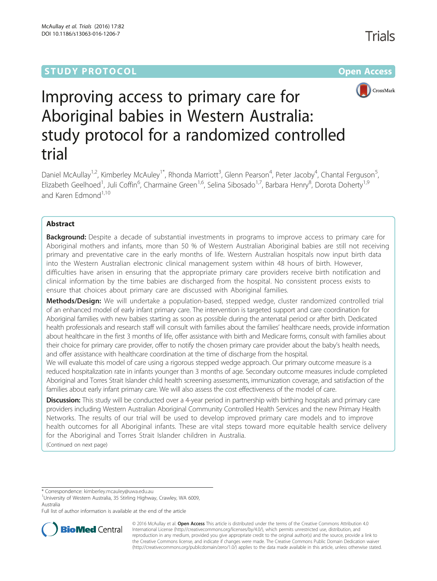# **STUDY PROTOCOL CONSUMING ACCESS**



# Improving access to primary care for Aboriginal babies in Western Australia: study protocol for a randomized controlled trial

Daniel McAullay<sup>1,2</sup>, Kimberley McAuley<sup>1\*</sup>, Rhonda Marriott<sup>3</sup>, Glenn Pearson<sup>4</sup>, Peter Jacoby<sup>4</sup>, Chantal Ferguson<sup>5</sup> , Elizabeth Geelhoed<sup>1</sup>, Juli Coffin<sup>6</sup>, Charmaine Green<sup>1,6</sup>, Selina Sibosado<sup>1,7</sup>, Barbara Henry<sup>8</sup>, Dorota Doherty<sup>1,9</sup> and Karen Edmond<sup>1,10</sup>

## Abstract

**Background:** Despite a decade of substantial investments in programs to improve access to primary care for Aboriginal mothers and infants, more than 50 % of Western Australian Aboriginal babies are still not receiving primary and preventative care in the early months of life. Western Australian hospitals now input birth data into the Western Australian electronic clinical management system within 48 hours of birth. However, difficulties have arisen in ensuring that the appropriate primary care providers receive birth notification and clinical information by the time babies are discharged from the hospital. No consistent process exists to ensure that choices about primary care are discussed with Aboriginal families.

Methods/Design: We will undertake a population-based, stepped wedge, cluster randomized controlled trial of an enhanced model of early infant primary care. The intervention is targeted support and care coordination for Aboriginal families with new babies starting as soon as possible during the antenatal period or after birth. Dedicated health professionals and research staff will consult with families about the families' healthcare needs, provide information about healthcare in the first 3 months of life, offer assistance with birth and Medicare forms, consult with families about their choice for primary care provider, offer to notify the chosen primary care provider about the baby's health needs, and offer assistance with healthcare coordination at the time of discharge from the hospital.

We will evaluate this model of care using a rigorous stepped wedge approach. Our primary outcome measure is a reduced hospitalization rate in infants younger than 3 months of age. Secondary outcome measures include completed Aboriginal and Torres Strait Islander child health screening assessments, immunization coverage, and satisfaction of the families about early infant primary care. We will also assess the cost effectiveness of the model of care.

Discussion: This study will be conducted over a 4-year period in partnership with birthing hospitals and primary care providers including Western Australian Aboriginal Community Controlled Health Services and the new Primary Health Networks. The results of our trial will be used to develop improved primary care models and to improve health outcomes for all Aboriginal infants. These are vital steps toward more equitable health service delivery for the Aboriginal and Torres Strait Islander children in Australia. (Continued on next page)

\* Correspondence: [kimberley.mcauley@uwa.edu.au](mailto:kimberley.mcauley@uwa.edu.au) <sup>1</sup>

Full list of author information is available at the end of the article



© 2016 McAullay et al. Open Access This article is distributed under the terms of the Creative Commons Attribution 4.0 International License [\(http://creativecommons.org/licenses/by/4.0/](http://creativecommons.org/licenses/by/4.0/)), which permits unrestricted use, distribution, and reproduction in any medium, provided you give appropriate credit to the original author(s) and the source, provide a link to the Creative Commons license, and indicate if changes were made. The Creative Commons Public Domain Dedication waiver [\(http://creativecommons.org/publicdomain/zero/1.0/](http://creativecommons.org/publicdomain/zero/1.0/)) applies to the data made available in this article, unless otherwise stated.

<sup>&</sup>lt;sup>1</sup>University of Western Australia, 35 Stirling Highway, Crawley, WA 6009, Australia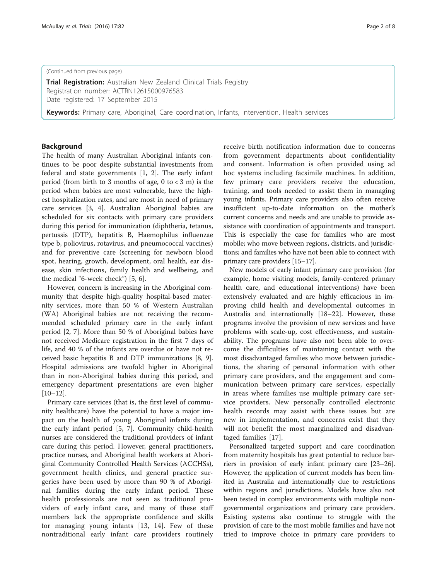#### (Continued from previous page)

**Trial Registration:** Australian New Zealand Clinical Trials Registry Registration number: [ACTRN12615000976583](https://www.anzctr.org.au/Trial/Registration/TrialReview.aspx?ACTRN=12615000976583) Date registered: 17 September 2015

Keywords: Primary care, Aboriginal, Care coordination, Infants, Intervention, Health services

#### **Background**

The health of many Australian Aboriginal infants continues to be poor despite substantial investments from federal and state governments [[1, 2\]](#page-9-0). The early infant period (from birth to 3 months of age,  $0$  to  $<$  3 m) is the period when babies are most vulnerable, have the highest hospitalization rates, and are most in need of primary care services [\[3](#page-9-0), [4](#page-9-0)]. Australian Aboriginal babies are scheduled for six contacts with primary care providers during this period for immunization (diphtheria, tetanus, pertussis (DTP), hepatitis B, Haemophilus influenzae type b, poliovirus, rotavirus, and pneumococcal vaccines) and for preventive care (screening for newborn blood spot, hearing, growth, development, oral health, ear disease, skin infections, family health and wellbeing, and the medical "6-week check") [\[5, 6\]](#page-9-0).

However, concern is increasing in the Aboriginal community that despite high-quality hospital-based maternity services, more than 50 % of Western Australian (WA) Aboriginal babies are not receiving the recommended scheduled primary care in the early infant period [[2](#page-9-0), [7](#page-9-0)]. More than 50 % of Aboriginal babies have not received Medicare registration in the first 7 days of life, and 40 % of the infants are overdue or have not received basic hepatitis B and DTP immunizations [\[8](#page-9-0), [9](#page-9-0)]. Hospital admissions are twofold higher in Aboriginal than in non-Aboriginal babies during this period, and emergency department presentations are even higher [[10](#page-9-0)–[12](#page-9-0)].

Primary care services (that is, the first level of community healthcare) have the potential to have a major impact on the health of young Aboriginal infants during the early infant period [\[5](#page-9-0), [7\]](#page-9-0). Community child-health nurses are considered the traditional providers of infant care during this period. However, general practitioners, practice nurses, and Aboriginal health workers at Aboriginal Community Controlled Health Services (ACCHSs), government health clinics, and general practice surgeries have been used by more than 90 % of Aboriginal families during the early infant period. These health professionals are not seen as traditional providers of early infant care, and many of these staff members lack the appropriate confidence and skills for managing young infants [\[13](#page-9-0), [14\]](#page-9-0). Few of these nontraditional early infant care providers routinely

receive birth notification information due to concerns from government departments about confidentiality and consent. Information is often provided using ad hoc systems including facsimile machines. In addition, few primary care providers receive the education, training, and tools needed to assist them in managing young infants. Primary care providers also often receive insufficient up-to-date information on the mother's current concerns and needs and are unable to provide assistance with coordination of appointments and transport. This is especially the case for families who are most mobile; who move between regions, districts, and jurisdictions; and families who have not been able to connect with primary care providers [\[15](#page-9-0)–[17](#page-9-0)].

New models of early infant primary care provision (for example, home visiting models, family-centered primary health care, and educational interventions) have been extensively evaluated and are highly efficacious in improving child health and developmental outcomes in Australia and internationally [[18](#page-9-0)–[22](#page-9-0)]. However, these programs involve the provision of new services and have problems with scale-up, cost effectiveness, and sustainability. The programs have also not been able to overcome the difficulties of maintaining contact with the most disadvantaged families who move between jurisdictions, the sharing of personal information with other primary care providers, and the engagement and communication between primary care services, especially in areas where families use multiple primary care service providers. New personally controlled electronic health records may assist with these issues but are new in implementation, and concerns exist that they will not benefit the most marginalized and disadvantaged families [\[17](#page-9-0)].

Personalized targeted support and care coordination from maternity hospitals has great potential to reduce barriers in provision of early infant primary care [\[23](#page-9-0)–[26](#page-9-0)]. However, the application of current models has been limited in Australia and internationally due to restrictions within regions and jurisdictions. Models have also not been tested in complex environments with multiple nongovernmental organizations and primary care providers. Existing systems also continue to struggle with the provision of care to the most mobile families and have not tried to improve choice in primary care providers to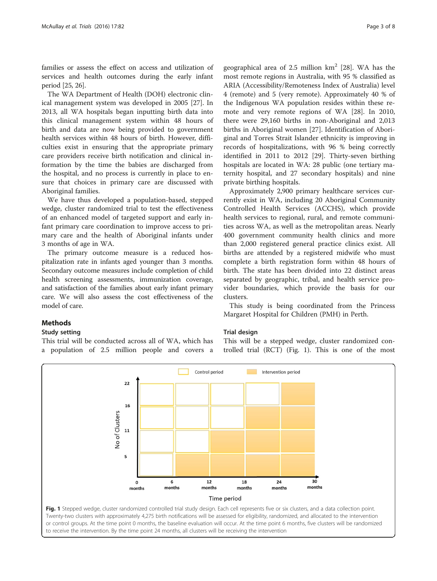<span id="page-4-0"></span>families or assess the effect on access and utilization of services and health outcomes during the early infant period [\[25, 26](#page-9-0)].

The WA Department of Health (DOH) electronic clinical management system was developed in 2005 [\[27\]](#page-9-0). In 2013, all WA hospitals began inputting birth data into this clinical management system within 48 hours of birth and data are now being provided to government health services within 48 hours of birth. However, difficulties exist in ensuring that the appropriate primary care providers receive birth notification and clinical information by the time the babies are discharged from the hospital, and no process is currently in place to ensure that choices in primary care are discussed with Aboriginal families.

We have thus developed a population-based, stepped wedge, cluster randomized trial to test the effectiveness of an enhanced model of targeted support and early infant primary care coordination to improve access to primary care and the health of Aboriginal infants under 3 months of age in WA.

The primary outcome measure is a reduced hospitalization rate in infants aged younger than 3 months. Secondary outcome measures include completion of child health screening assessments, immunization coverage, and satisfaction of the families about early infant primary care. We will also assess the cost effectiveness of the model of care.

Controlled Health Services (ACCHS), which provide health services to regional, rural, and remote communities across WA, as well as the metropolitan areas. Nearly 400 government community health clinics and more than 2,000 registered general practice clinics exist. All births are attended by a registered midwife who must complete a birth registration form within 48 hours of birth. The state has been divided into 22 distinct areas separated by geographic, tribal, and health service provider boundaries, which provide the basis for our clusters.

This study is being coordinated from the Princess Margaret Hospital for Children (PMH) in Perth.

#### Methods

#### Study setting

This trial will be conducted across all of WA, which has a population of 2.5 million people and covers a

Trial design

This will be a stepped wedge, cluster randomized controlled trial (RCT) (Fig. 1). This is one of the most



mote and very remote regions of WA [\[28\]](#page-9-0). In 2010, there were 29,160 births in non-Aboriginal and 2,013 births in Aboriginal women [[27\]](#page-9-0). Identification of Aboriginal and Torres Strait Islander ethnicity is improving in records of hospitalizations, with 96 % being correctly identified in 2011 to 2012 [\[29](#page-9-0)]. Thirty-seven birthing hospitals are located in WA: 28 public (one tertiary maternity hospital, and 27 secondary hospitals) and nine private birthing hospitals. Approximately 2,900 primary healthcare services currently exist in WA, including 20 Aboriginal Community

geographical area of 2.5 million  $km^2$  [\[28](#page-9-0)]. WA has the most remote regions in Australia, with 95 % classified as ARIA (Accessibility/Remoteness Index of Australia) level 4 (remote) and 5 (very remote). Approximately 40 % of the Indigenous WA population resides within these re-

or control groups. At the time point 0 months, the baseline evaluation will occur. At the time point 6 months, five clusters will be randomized to receive the intervention. By the time point 24 months, all clusters will be receiving the intervention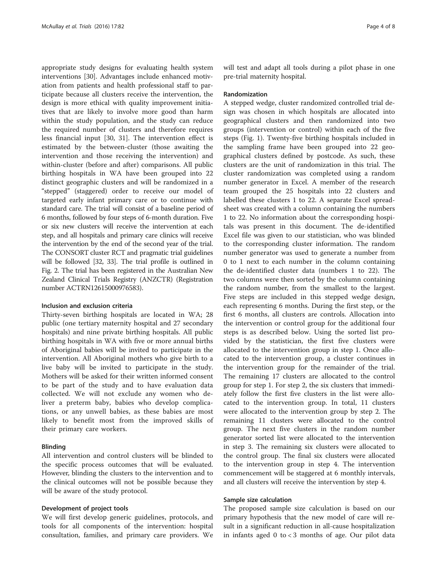appropriate study designs for evaluating health system interventions [[30](#page-9-0)]. Advantages include enhanced motivation from patients and health professional staff to participate because all clusters receive the intervention, the design is more ethical with quality improvement initiatives that are likely to involve more good than harm within the study population, and the study can reduce the required number of clusters and therefore requires less financial input [[30, 31](#page-9-0)]. The intervention effect is estimated by the between-cluster (those awaiting the intervention and those receiving the intervention) and within-cluster (before and after) comparisons. All public birthing hospitals in WA have been grouped into 22 distinct geographic clusters and will be randomized in a "stepped" (staggered) order to receive our model of targeted early infant primary care or to continue with standard care. The trial will consist of a baseline period of 6 months, followed by four steps of 6-month duration. Five or six new clusters will receive the intervention at each step, and all hospitals and primary care clinics will receive the intervention by the end of the second year of the trial. The CONSORT cluster RCT and pragmatic trial guidelines will be followed [[32](#page-9-0), [33](#page-9-0)]. The trial profile is outlined in Fig. [2.](#page-6-0) The trial has been registered in the Australian New Zealand Clinical Trials Registry (ANZCTR) (Registration number ACTRN12615000976583).

#### Inclusion and exclusion criteria

Thirty-seven birthing hospitals are located in WA; 28 public (one tertiary maternity hospital and 27 secondary hospitals) and nine private birthing hospitals. All public birthing hospitals in WA with five or more annual births of Aboriginal babies will be invited to participate in the intervention. All Aboriginal mothers who give birth to a live baby will be invited to participate in the study. Mothers will be asked for their written informed consent to be part of the study and to have evaluation data collected. We will not exclude any women who deliver a preterm baby, babies who develop complications, or any unwell babies, as these babies are most likely to benefit most from the improved skills of their primary care workers.

#### Blinding

All intervention and control clusters will be blinded to the specific process outcomes that will be evaluated. However, blinding the clusters to the intervention and to the clinical outcomes will not be possible because they will be aware of the study protocol.

#### Development of project tools

We will first develop generic guidelines, protocols, and tools for all components of the intervention: hospital consultation, families, and primary care providers. We will test and adapt all tools during a pilot phase in one pre-trial maternity hospital.

#### Randomization

A stepped wedge, cluster randomized controlled trial design was chosen in which hospitals are allocated into geographical clusters and then randomized into two groups (intervention or control) within each of the five steps (Fig. [1\)](#page-4-0). Twenty-five birthing hospitals included in the sampling frame have been grouped into 22 geographical clusters defined by postcode. As such, these clusters are the unit of randomization in this trial. The cluster randomization was completed using a random number generator in Excel. A member of the research team grouped the 25 hospitals into 22 clusters and labelled these clusters 1 to 22. A separate Excel spreadsheet was created with a column containing the numbers 1 to 22. No information about the corresponding hospitals was present in this document. The de-identified Excel file was given to our statistician, who was blinded to the corresponding cluster information. The random number generator was used to generate a number from 0 to 1 next to each number in the column containing the de-identified cluster data (numbers 1 to 22). The two columns were then sorted by the column containing the random number, from the smallest to the largest. Five steps are included in this stepped wedge design, each representing 6 months. During the first step, or the first 6 months, all clusters are controls. Allocation into the intervention or control group for the additional four steps is as described below. Using the sorted list provided by the statistician, the first five clusters were allocated to the intervention group in step 1. Once allocated to the intervention group, a cluster continues in the intervention group for the remainder of the trial. The remaining 17 clusters are allocated to the control group for step 1. For step 2, the six clusters that immediately follow the first five clusters in the list were allocated to the intervention group. In total, 11 clusters were allocated to the intervention group by step 2. The remaining 11 clusters were allocated to the control group. The next five clusters in the random number generator sorted list were allocated to the intervention in step 3. The remaining six clusters were allocated to the control group. The final six clusters were allocated to the intervention group in step 4. The intervention commencement will be staggered at 6 monthly intervals, and all clusters will receive the intervention by step 4.

#### Sample size calculation

The proposed sample size calculation is based on our primary hypothesis that the new model of care will result in a significant reduction in all-cause hospitalization in infants aged  $0$  to  $<$  3 months of age. Our pilot data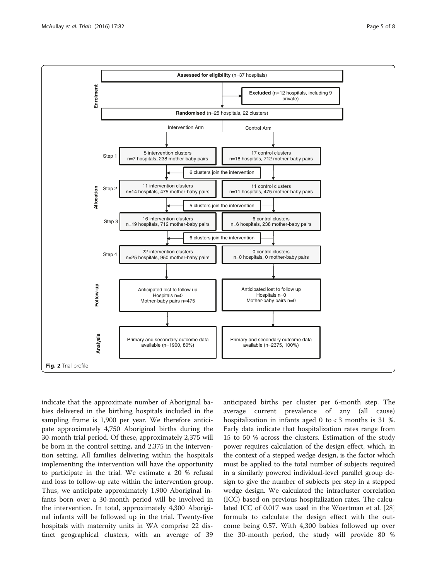<span id="page-6-0"></span>

indicate that the approximate number of Aboriginal babies delivered in the birthing hospitals included in the sampling frame is 1,900 per year. We therefore anticipate approximately 4,750 Aboriginal births during the 30-month trial period. Of these, approximately 2,375 will be born in the control setting, and 2,375 in the intervention setting. All families delivering within the hospitals implementing the intervention will have the opportunity to participate in the trial. We estimate a 20 % refusal and loss to follow-up rate within the intervention group. Thus, we anticipate approximately 1,900 Aboriginal infants born over a 30-month period will be involved in the intervention. In total, approximately 4,300 Aboriginal infants will be followed up in the trial. Twenty-five hospitals with maternity units in WA comprise 22 distinct geographical clusters, with an average of 39 anticipated births per cluster per 6-month step. The average current prevalence of any (all cause) hospitalization in infants aged 0 to < 3 months is 31 %. Early data indicate that hospitalization rates range from 15 to 50 % across the clusters. Estimation of the study power requires calculation of the design effect, which, in the context of a stepped wedge design, is the factor which must be applied to the total number of subjects required in a similarly powered individual-level parallel group design to give the number of subjects per step in a stepped wedge design. We calculated the intracluster correlation (ICC) based on previous hospitalization rates. The calculated ICC of 0.017 was used in the Woertman et al. [[28](#page-9-0)] formula to calculate the design effect with the outcome being 0.57. With 4,300 babies followed up over the 30-month period, the study will provide 80 %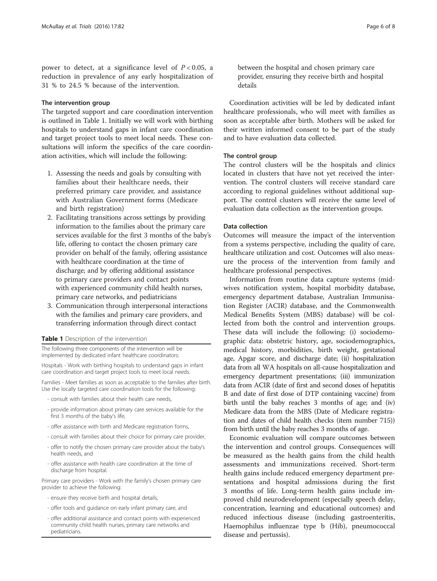power to detect, at a significance level of  $P < 0.05$ , a reduction in prevalence of any early hospitalization of 31 % to 24.5 % because of the intervention.

#### The intervention group

The targeted support and care coordination intervention is outlined in Table 1. Initially we will work with birthing hospitals to understand gaps in infant care coordination and target project tools to meet local needs. These consultations will inform the specifics of the care coordination activities, which will include the following:

- 1. Assessing the needs and goals by consulting with families about their healthcare needs, their preferred primary care provider, and assistance with Australian Government forms (Medicare and birth registration)
- 2. Facilitating transitions across settings by providing information to the families about the primary care services available for the first 3 months of the baby's life, offering to contact the chosen primary care provider on behalf of the family, offering assistance with healthcare coordination at the time of discharge; and by offering additional assistance to primary care providers and contact points with experienced community child health nurses, primary care networks, and pediatricians
- 3. Communication through interpersonal interactions with the families and primary care providers, and transferring information through direct contact

#### Table 1 Description of the intervention

The following three components of the intervention will be implemented by dedicated infant healthcare coordinators:

Hospitals - Work with birthing hospitals to understand gaps in infant care coordination and target project tools to meet local needs.

Families - Meet families as soon as acceptable to the families after birth. Use the locally targeted care coordination tools for the following:

- consult with families about their health care needs,
- provide information about primary care services available for the first 3 months of the baby's life,
- offer assistance with birth and Medicare registration forms,
- consult with families about their choice for primary care provider,
- offer to notify the chosen primary care provider about the baby's health needs, and
- offer assistance with health care coordination at the time of discharge from hospital.

Primary care providers - Work with the family's chosen primary care provider to achieve the following:

- ensure they receive birth and hospital details,
- offer tools and guidance on early infant primary care, and
- offer additional assistance and contact points with experienced community child health nurses, primary care networks and pediatricians.

between the hospital and chosen primary care provider, ensuring they receive birth and hospital details

Coordination activities will be led by dedicated infant healthcare professionals, who will meet with families as soon as acceptable after birth. Mothers will be asked for their written informed consent to be part of the study and to have evaluation data collected.

#### The control group

The control clusters will be the hospitals and clinics located in clusters that have not yet received the intervention. The control clusters will receive standard care according to regional guidelines without additional support. The control clusters will receive the same level of evaluation data collection as the intervention groups.

#### Data collection

Outcomes will measure the impact of the intervention from a systems perspective, including the quality of care, healthcare utilization and cost. Outcomes will also measure the process of the intervention from family and healthcare professional perspectives.

Information from routine data capture systems (midwives notification system, hospital morbidity database, emergency department database, Australian Immunisation Register (ACIR) database, and the Commonwealth Medical Benefits System (MBS) database) will be collected from both the control and intervention groups. These data will include the following: (i) sociodemographic data: obstetric history, age, sociodemographics, medical history, morbidities, birth weight, gestational age, Apgar score, and discharge date; (ii) hospitalization data from all WA hospitals on all-cause hospitalization and emergency department presentations; (iii) immunization data from ACIR (date of first and second doses of hepatitis B and date of first dose of DTP containing vaccine) from birth until the baby reaches 3 months of age; and (iv) Medicare data from the MBS (Date of Medicare registration and dates of child health checks (item number 715)) from birth until the baby reaches 3 months of age.

Economic evaluation will compare outcomes between the intervention and control groups. Consequences will be measured as the health gains from the child health assessments and immunizations received. Short-term health gains include reduced emergency department presentations and hospital admissions during the first 3 months of life. Long-term health gains include improved child neurodevelopment (especially speech delay, concentration, learning and educational outcomes) and reduced infectious disease (including gastroenteritis, Haemophilus influenzae type b (Hib), pneumococcal disease and pertussis).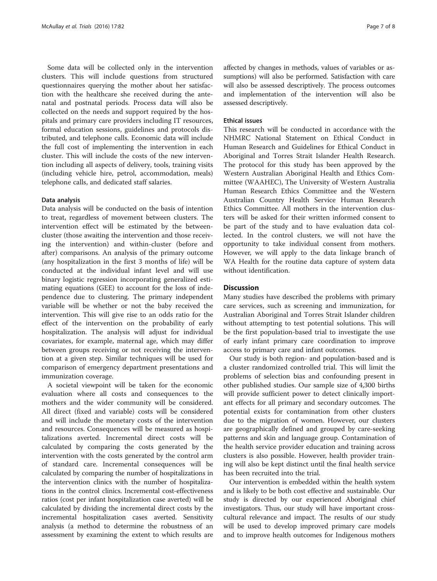Some data will be collected only in the intervention clusters. This will include questions from structured questionnaires querying the mother about her satisfaction with the healthcare she received during the antenatal and postnatal periods. Process data will also be collected on the needs and support required by the hospitals and primary care providers including IT resources, formal education sessions, guidelines and protocols distributed, and telephone calls. Economic data will include the full cost of implementing the intervention in each cluster. This will include the costs of the new intervention including all aspects of delivery, tools, training visits (including vehicle hire, petrol, accommodation, meals) telephone calls, and dedicated staff salaries.

#### Data analysis

Data analysis will be conducted on the basis of intention to treat, regardless of movement between clusters. The intervention effect will be estimated by the betweencluster (those awaiting the intervention and those receiving the intervention) and within-cluster (before and after) comparisons. An analysis of the primary outcome (any hospitalization in the first 3 months of life) will be conducted at the individual infant level and will use binary logistic regression incorporating generalized estimating equations (GEE) to account for the loss of independence due to clustering. The primary independent variable will be whether or not the baby received the intervention. This will give rise to an odds ratio for the effect of the intervention on the probability of early hospitalization. The analysis will adjust for individual covariates, for example, maternal age, which may differ between groups receiving or not receiving the intervention at a given step. Similar techniques will be used for comparison of emergency department presentations and immunization coverage.

A societal viewpoint will be taken for the economic evaluation where all costs and consequences to the mothers and the wider community will be considered. All direct (fixed and variable) costs will be considered and will include the monetary costs of the intervention and resources. Consequences will be measured as hospitalizations averted. Incremental direct costs will be calculated by comparing the costs generated by the intervention with the costs generated by the control arm of standard care. Incremental consequences will be calculated by comparing the number of hospitalizations in the intervention clinics with the number of hospitalizations in the control clinics. Incremental cost-effectiveness ratios (cost per infant hospitalization case averted) will be calculated by dividing the incremental direct costs by the incremental hospitalization cases averted. Sensitivity analysis (a method to determine the robustness of an assessment by examining the extent to which results are affected by changes in methods, values of variables or assumptions) will also be performed. Satisfaction with care will also be assessed descriptively. The process outcomes and implementation of the intervention will also be assessed descriptively.

#### Ethical issues

This research will be conducted in accordance with the NHMRC National Statement on Ethical Conduct in Human Research and Guidelines for Ethical Conduct in Aboriginal and Torres Strait Islander Health Research. The protocol for this study has been approved by the Western Australian Aboriginal Health and Ethics Committee (WAAHEC), The University of Western Australia Human Research Ethics Committee and the Western Australian Country Health Service Human Research Ethics Committee. All mothers in the intervention clusters will be asked for their written informed consent to be part of the study and to have evaluation data collected. In the control clusters, we will not have the opportunity to take individual consent from mothers. However, we will apply to the data linkage branch of WA Health for the routine data capture of system data without identification.

#### **Discussion**

Many studies have described the problems with primary care services, such as screening and immunization, for Australian Aboriginal and Torres Strait Islander children without attempting to test potential solutions. This will be the first population-based trial to investigate the use of early infant primary care coordination to improve access to primary care and infant outcomes.

Our study is both region- and population-based and is a cluster randomized controlled trial. This will limit the problems of selection bias and confounding present in other published studies. Our sample size of 4,300 births will provide sufficient power to detect clinically important effects for all primary and secondary outcomes. The potential exists for contamination from other clusters due to the migration of women. However, our clusters are geographically defined and grouped by care-seeking patterns and skin and language group. Contamination of the health service provider education and training across clusters is also possible. However, health provider training will also be kept distinct until the final health service has been recruited into the trial.

Our intervention is embedded within the health system and is likely to be both cost effective and sustainable. Our study is directed by our experienced Aboriginal chief investigators. Thus, our study will have important crosscultural relevance and impact. The results of our study will be used to develop improved primary care models and to improve health outcomes for Indigenous mothers